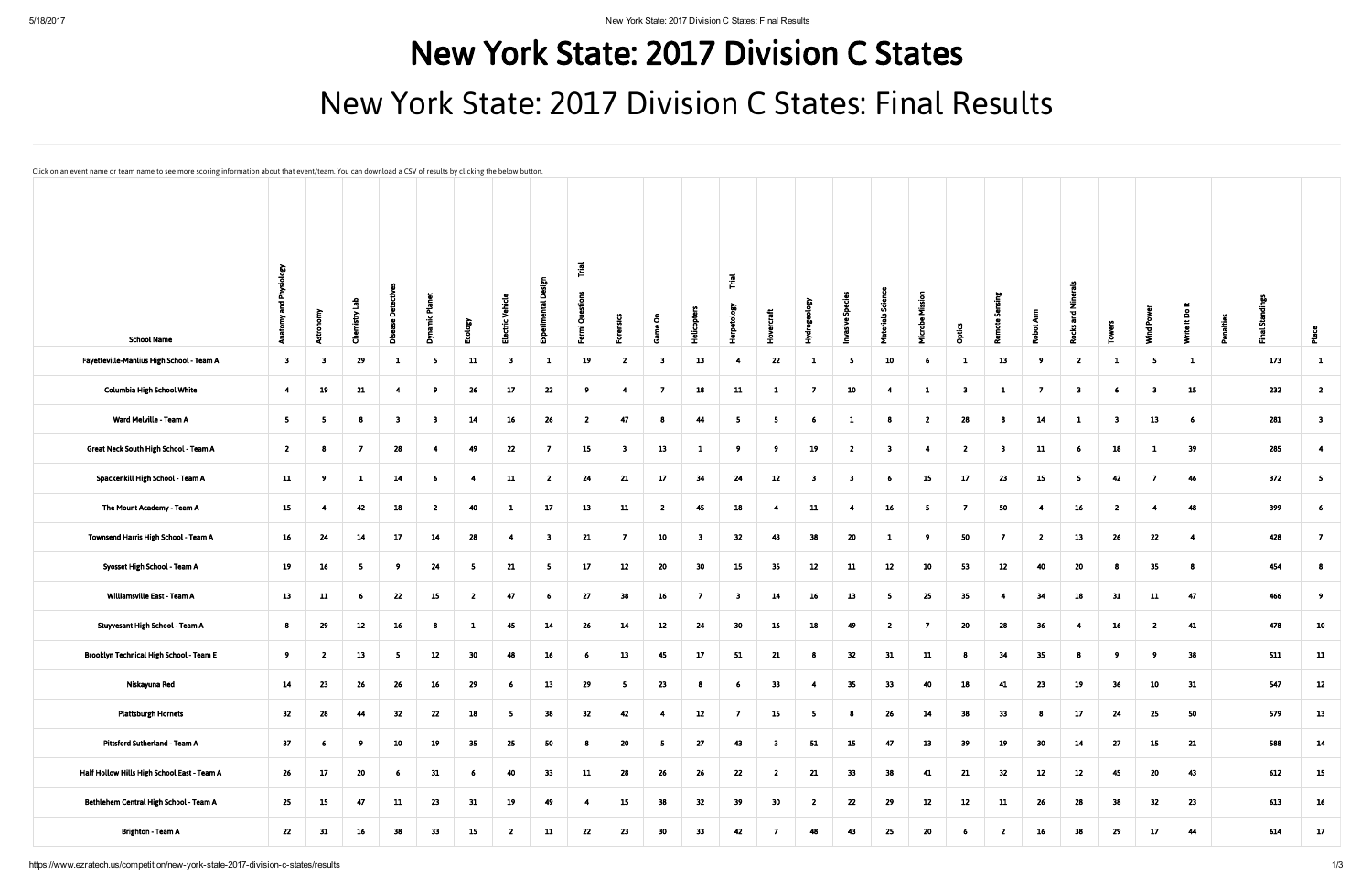## New York State: 2017 Division C States New York State: 2017 Division C States: Final Results

Click on an event name or team name to see more scoring information about that event/team. You can download a CSV of results by clicking the below button.

| <b>School Name</b>                          | Physi<br>고                   |                         | <u>កំ</u><br>$n$ istry<br>ō | É<br>Ō<br>ō             | ð                        | Ecology        | ctric Vehicle                |                         | $\overline{r}$<br>Fermi Questions |                         | ō                       | <b>Helicopters</b>      | $\overline{\overline{\mathbf{r}}}$<br>erpetology | ercraft                 | Hydrogeol      | asive Sp                | <b>Materials Science</b> | Ξ<br>ᄫ         | <b>Optics</b>           | - 3                     | Ę<br>.ㅎ         | ΞĪ.<br>ក្ដ<br>෪<br>2    |                |                         | $\equiv$<br>Write It Do | alties | 5<br>ಕ |                          |
|---------------------------------------------|------------------------------|-------------------------|-----------------------------|-------------------------|--------------------------|----------------|------------------------------|-------------------------|-----------------------------------|-------------------------|-------------------------|-------------------------|--------------------------------------------------|-------------------------|----------------|-------------------------|--------------------------|----------------|-------------------------|-------------------------|-----------------|-------------------------|----------------|-------------------------|-------------------------|--------|--------|--------------------------|
| Fayetteville-Manlius High School - Team A   | ₹<br>$\overline{\mathbf{3}}$ | $\overline{\mathbf{3}}$ | 29                          | $\mathbf{1}$            | $\overline{\phantom{0}}$ | 11             | 画<br>$\overline{\mathbf{3}}$ | $\mathbf{1}$            | 19                                | $\overline{\mathbf{2}}$ | $\overline{\mathbf{3}}$ | 13                      | $\overline{4}$                                   | 22                      | $\mathbf{1}$   | 5                       | 10                       | -6             | $\mathbf{1}$            | œ<br>13                 | - 9             | $\overline{2}$          | $\mathbf{1}$   | - 5                     | $\mathbf{1}$            |        | 173    | $\mathbf{1}$             |
| <b>Columbia High School White</b>           | $\overline{4}$               | 19                      | 21                          | $\overline{4}$          | 9                        | 26             | 17                           | 22                      | - 9                               | $\overline{4}$          | $\overline{7}$          | 18                      | 11                                               | -1                      | $\overline{7}$ | 10                      | $\overline{4}$           | $\mathbf{1}$   | $\overline{\mathbf{3}}$ | $\mathbf{1}$            | $\overline{7}$  | $\overline{\mathbf{3}}$ | 6              | $\overline{\mathbf{3}}$ | 15                      |        | 232    | $\overline{2}$           |
| Ward Melville - Team A                      | $\overline{\phantom{a}}$     | -5                      | 8                           | $\overline{\mathbf{3}}$ | $\overline{\mathbf{3}}$  | 14             | 16                           | 26                      | $\overline{2}$                    | 47                      | $\bf{8}$                | 44                      | 5                                                | 5                       | -6             | $\mathbf{1}$            | 8                        | $\overline{2}$ | 28                      | -8                      | 14              | $\mathbf{1}$            | 3 <sub>1</sub> | 13                      | 6                       |        | 281    | $\overline{\mathbf{3}}$  |
| Great Neck South High School - Team A       | $\overline{\mathbf{2}}$      | - 8                     | $\overline{7}$              | 28                      | 4                        | 49             | 22                           | $\overline{7}$          | 15                                | $\overline{\mathbf{3}}$ | 13                      | $\mathbf{1}$            | $^{9}$                                           | - 9                     | 19             | $\overline{2}$          | $\overline{\mathbf{3}}$  | $\overline{4}$ | $\overline{2}$          | $\overline{\mathbf{3}}$ | 11              | -6                      | 18             | $\mathbf{1}$            | 39                      |        | 285    | $\overline{4}$           |
| Spackenkill High School - Team A            | 11                           | - 9                     | $\mathbf{1}$                | 14                      | $6\overline{6}$          | $\overline{4}$ | 11                           | $\overline{2}$          | 24                                | 21                      | 17 <sup>2</sup>         | 34                      | 24                                               | 12                      | -3             | $\overline{\mathbf{3}}$ | 6 <sup>1</sup>           | 15             | 17                      | 23                      | 15              | - 5                     | 42             | $\overline{7}$          | 46                      |        | 372    | $\overline{\phantom{0}}$ |
| The Mount Academy - Team A                  | 15                           | -4                      | 42                          | 18                      | $\overline{2}$           | 40             | $\mathbf{1}$                 | 17                      | 13                                | 11                      | $\overline{2}$          | 45                      | 18                                               | $\overline{4}$          | 11             | $\overline{4}$          | 16                       | 5 <sub>5</sub> | $\overline{7}$          | 50                      | -4              | 16 <sup>1</sup>         | $\overline{2}$ | $\overline{4}$          | 48                      |        | 399    | - 6                      |
| Townsend Harris High School - Team A        | 16                           | 24                      | 14                          | 17                      | 14                       | ${\bf 28}$     | $\overline{4}$               | $\overline{\mathbf{3}}$ | 21                                | $\overline{7}$          | 10                      | $\overline{\mathbf{3}}$ | 32                                               | 43                      | 38             | 20                      | $\mathbf{1}$             | - 9            | 50                      | $\overline{7}$          | $\overline{2}$  | 13                      | 26             | 22                      | $\overline{4}$          |        | 428    | $\overline{7}$           |
| Syosset High School - Team A                | 19                           | 16                      | $\overline{\mathbf{5}}$     | - 9                     | 24                       | 5              | 21                           | - 5                     | 17                                | 12                      | 20                      | 30                      | 15                                               | 35                      | 12             | 11                      | 12                       | 10             | 53                      | 12                      | 40              | 20                      | 8              | 35                      | 8                       |        | 454    | 8                        |
| Williamsville East - Team A                 | 13                           | 11                      | 6 <sup>1</sup>              | 22                      | 15                       | $\overline{2}$ | 47                           | - 6                     | 27                                | 38                      | 16 <sup>1</sup>         | $\overline{7}$          | $\overline{\mathbf{3}}$                          | 14                      | 16             | 13                      | 5 <sub>1</sub>           | 25             | 35                      | $\overline{4}$          | 34              | 18                      | 31             | 11                      | 47                      |        | 466    | 9 <sup>°</sup>           |
| Stuyvesant High School - Team A             | 8                            | 29                      | 12                          | 16                      | 8                        | $\mathbf{1}$   | 45                           | 14                      | 26                                | 14                      | 12                      | 24                      | 30 <sub>2</sub>                                  | 16                      | 18             | 49                      | $\overline{2}$           | $\overline{7}$ | 20                      | 28                      | 36              | -4                      | 16             | $\overline{2}$          | 41                      |        | 478    | 10                       |
|                                             |                              |                         |                             |                         |                          |                |                              |                         |                                   |                         |                         |                         |                                                  |                         |                |                         |                          |                |                         |                         |                 |                         |                |                         |                         |        |        |                          |
| Brooklyn Technical High School - Team E     | - 9                          | $\mathbf{z}$            | 13                          | - 5                     | 12                       | 30             | 48                           | 16                      | -6                                | 13                      | 45                      | 17                      | 51                                               | 21                      | -8             | 32                      | 31                       | 11             | -8                      | 34                      | 35              |                         | 9              | - 9                     | 38                      |        | 511    | 11                       |
| Niskayuna Red                               | 14                           | 23                      | 26                          | 26                      | 16                       | 29             | -6                           | 13                      | 29                                | -5                      | 23                      |                         | 6                                                | 33                      | -4             | 35                      | 33                       | 40             | 18                      | 41                      | 23              | 19                      | 36             | 10                      | 31                      |        | 547    | 12                       |
| <b>Plattsburgh Hornets</b>                  | 32                           | 28                      | 44                          | 32                      | 22                       | ${\bf 18}$     | 5 <sub>1</sub>               | 38                      | 32                                | 42                      | $\overline{4}$          | 12                      | $\overline{7}$                                   | 15                      | -5             | 8                       | 26                       | 14             | $\bf{38}$               | 33                      | -8              | 17                      | 24             | 25                      | 50                      |        | 579    | 13                       |
| Pittsford Sutherland - Team A               | 37                           | -6                      | 9 <sup>°</sup>              | 10                      | 19                       | 35             | 25                           | 50                      | 8                                 | $20\degree$             | 5 <sub>5</sub>          | 27                      | 43                                               | $\overline{\mathbf{3}}$ | 51             | 15                      | 47                       | 13             | 39                      | 19                      | 30 <sub>o</sub> | 14                      | 27             | 15                      | 21                      |        | 588    | 14                       |
| Half Hollow Hills High School East - Team A | 26                           | 17                      | 20                          | 6 <sub>o</sub>          | 31                       | 6              | 40                           | 33                      | 11                                | 28                      | 26                      | 26                      | 22                                               | $\overline{2}$          | 21             | 33 <sub>°</sub>         | 38                       | 41             | 21                      | 32                      | 12              | 12                      | 45             | 20                      | 43                      |        | 612    | 15                       |
| Bethlehem Central High School - Team A      | 25                           | 15                      | 47                          | 11                      | 23                       | 31             | 19                           | 49                      | $\overline{4}$                    | 15                      | 38                      | 32                      | 39                                               | 30                      | $\overline{2}$ | 22                      | 29                       | 12             | 12                      | ${\bf 11}$              | 26              | 28                      | 38             | 32                      | 23                      |        | 613    | 16                       |
| Brighton - Team A                           | 22                           | 31                      | $16\phantom{.0}$            | 38                      | 33                       | 15             | $\overline{2}$               | 11                      | 22                                | 23                      | 30 <sub>o</sub>         | 33                      | 42                                               | $\overline{7}$          | 48             | 43                      | 25                       | 20             | 6                       | $\overline{2}$          | 16              | 38                      | 29             | 17                      | 44                      |        | 614    | 17                       |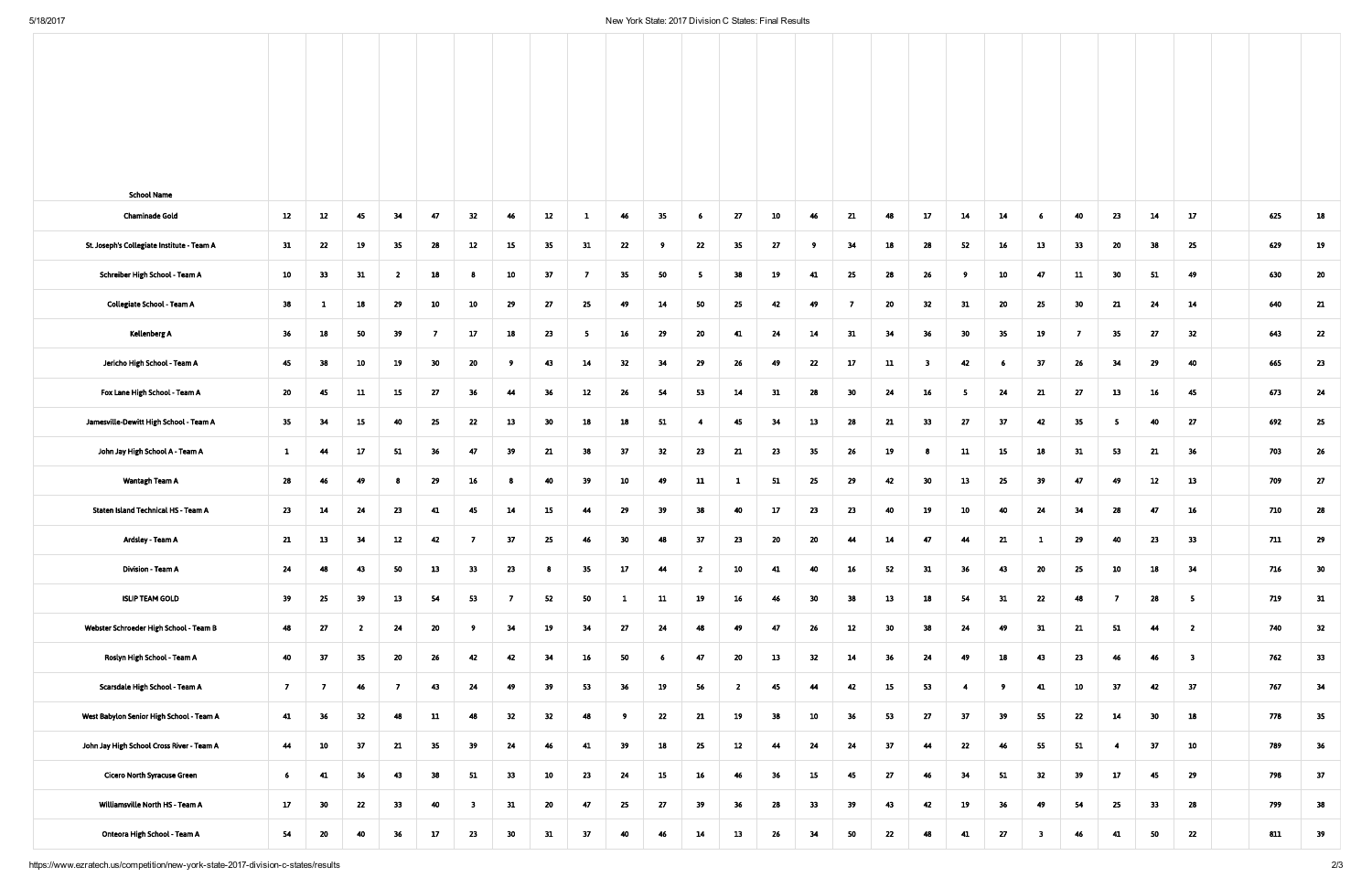| <b>School Name</b>                                        |                 |                |                         |                 |                         |                 |     |     |                 |                 |                 |                |    |     |                |                 |                         |                |     |                         |     |                 |                 |                         |     |    |
|-----------------------------------------------------------|-----------------|----------------|-------------------------|-----------------|-------------------------|-----------------|-----|-----|-----------------|-----------------|-----------------|----------------|----|-----|----------------|-----------------|-------------------------|----------------|-----|-------------------------|-----|-----------------|-----------------|-------------------------|-----|----|
| 12<br><b>Chaminade Gold</b>                               | 12              | 45             | 34                      | 47              | 32                      | 46              | 12  | 1   | 46              | 35 <sub>1</sub> | $6\overline{6}$ | 27             | 10 | 46  | 21             | 48              | 17                      | 14             | 14  | 6                       | 40  | 23              | 14              | 17                      | 625 | 18 |
| 31<br>St. Joseph's Collegiate Institute - Team A          | 22              | 19             | 35                      | 28              | 12                      | 15              | 35  | 31  | 22              | - 9             | 22              | 35             | 27 | - 9 | 34             | 18              | 28                      | 52             | 16  | 13                      | 33  | 20              | 38              | 25                      | 629 | 19 |
| 10<br>Schreiber High School - Team A                      | 33              | 31             | $\overline{\mathbf{z}}$ | 18              | 8                       | 10              | 37  | -7  | 35              | 50              | 5 <sub>1</sub>  | 38             | 19 | 41  | 25             | 28              | 26                      | -9             | 10  | 47                      | 11  | 30 <sub>o</sub> | 51              | 49                      | 630 | 20 |
| 38<br><b>Collegiate School - Team A</b>                   | $\mathbf{1}$    | 18             | 29                      | 10              | 10                      | 29              | 27  | 25  | 49              | 14              | 50              | 25             | 42 | 49  | $\overline{7}$ | 20              | 32                      | 31             | 20  | 25                      | 30  | 21              | 24              | 14                      | 640 | 21 |
| 36<br>Kellenberg A                                        | 18              | 50             | 39                      | -7              | 17 <sub>2</sub>         | 18              | 23  | - 5 | 16 <sub>1</sub> | 29              | 20              | 41             | 24 | 14  | 31             | 34              | 36 <sub>2</sub>         | 30             | 35  | 19                      | - 7 | 35 <sub>2</sub> | 27              | 32                      | 643 | 22 |
| 45<br>Jericho High School - Team A                        | 38              | 10             | 19                      | 30 <sub>o</sub> | 20                      | $^{9}$          | 43  | 14  | 32              | 34              | 29              | 26             | 49 | 22  | 17             | 11              | $\overline{\mathbf{3}}$ | 42             | - 6 | 37                      | 26  | 34              | 29              | 40                      | 665 | 23 |
| 20<br>Fox Lane High School - Team A                       | 45              | 11             | 15                      | 27              | 36                      | 44              | 36  | 12  | 26              | 54              | 53              | 14             | 31 | 28  | 30             | 24              | 16                      | -5             | 24  | 21                      | 27  | 13              | 16              | 45                      | 673 | 24 |
| 35 <sub>2</sub><br>Jamesville-Dewitt High School - Team A | 34              | 15             | 40                      | 25              | 22                      | 13              | 30  | 18  | 18              | 51              | $\overline{4}$  | 45             | 34 | 13  | 28             | 21              | 33                      | 27             | 37  | 42                      | 35  | 5               | 40              | 27                      | 692 | 25 |
| $\mathbf{1}$<br>John Jay High School A - Team A           | 44              | 17             | 51                      | 36              | 47                      | 39              | 21  | 38  | 37              | 32              | 23              | 21             | 23 | 35  | 26             | 19              | 8                       | 11             | 15  | 18                      | 31  | 53              | 21              | 36                      | 703 | 26 |
| 28<br>Wantagh Team A                                      | 46              | 49             | 8                       | 29              | $16\phantom{.0}$        | - 8             | 40  | 39  | 10              | 49              | 11              | $\mathbf{1}$   | 51 | 25  | 29             | 42              | 30 <sub>o</sub>         | 13             | 25  | 39                      | 47  | 49              | 12              | 13                      | 709 | 27 |
| 23<br>Staten Island Technical HS - Team A                 | 14              | 24             | 23                      | 41              | 45                      | 14              | 15  | 44  | 29              | 39              | 38              | 40             | 17 | 23  | 23             | 40              | 19                      | 10             | 40  | 24                      | 34  | 28              | 47              | 16                      | 710 | 28 |
| Ardsley - Team A<br>21                                    | 13              | 34             | 12                      | 42              | $\overline{7}$          | 37              | 25  | 46  | 30              | 48              | 37              | 23             | 20 | 20  | 44             | 14              | 47                      | 44             | 21  | $\mathbf{1}$            | 29  | 40              | 23              | 33                      | 711 | 29 |
| 24<br>Division - Team A                                   | 48              | 43             | 50                      | 13              | 33                      | 23              | - 8 | 35  | 17              | 44              | $\overline{2}$  | 10             | 41 | 40  | 16             | 52              | 31                      | 36             | 43  | 20                      | 25  | 10              | 18              | 34                      | 716 | 30 |
| 39<br><b>ISLIP TEAM GOLD</b>                              | 25              | 39             | 13                      | 54              | 53                      | $\overline{7}$  | 52  | 50  | $\mathbf{1}$    | 11              | 19              | 16             | 46 | 30  | 38             | 13              | 18                      | 54             | 31  | 22                      | 48  | - 7             | 28              | 5 <sub>1</sub>          | 719 | 31 |
| 48<br>Webster Schroeder High School - Team B              | 27              | $\overline{2}$ | 24                      | 20              | - 9                     | 34              | 19  | 34  | 27              | 24              | 48              | 49             | 47 | 26  | 12             | 30 <sub>2</sub> | 38                      | 24             | 49  | 31                      | 21  | 51              | 44              | $\overline{2}$          | 740 | 32 |
| 40<br>Roslyn High School - Team A                         | 37              | 35             | 20                      | 26              | 42                      | 42              | 34  | 16  | 50              | 6               | 47              | 20             | 13 | 32  | 14             | 36              | 24                      | 49             | 18  | 43                      | 23  | 46              | 46              | $\overline{\mathbf{3}}$ | 762 | 33 |
| $\overline{7}$<br>Scarsdale High School - Team A          | - 7             | 46             | $\overline{7}$          | 43              | 24                      | 49              | 39  | 53  | 36              | 19              | 56              | $\overline{2}$ | 45 | 44  | 42             | 15              | 53                      | $\overline{4}$ | - 9 | 41                      | 10  | 37              | 42              | 37                      | 767 | 34 |
| West Babylon Senior High School - Team A<br>41            | 36              | 32             | 48                      | 11              | 48                      | 32              | 32  | 48  | - 9             | 22              | 21              | 19             | 38 | 10  | 36             | 53              | 27                      | 37             | 39  | 55                      | 22  | 14              | 30 <sub>o</sub> | 18                      | 778 | 35 |
| 44<br>John Jay High School Cross River - Team A           | 10              | 37             | 21                      | 35 <sub>2</sub> | 39                      | 24              | 46  | 41  | 39              | 18              | 25              | 12             | 44 | 24  | 24             | 37              | 44                      | 22             | 46  | 55                      | 51  | $\overline{4}$  | 37              | 10                      | 789 | 36 |
| 6 <sub>1</sub><br><b>Cicero North Syracuse Green</b>      | 41              | 36             | 43                      | 38              | 51                      | 33 <sub>o</sub> | 10  | 23  | 24              | 15              | 16              | 46             | 36 | 15  | 45             | 27              | 46                      | 34             | 51  | 32                      | 39  | 17              | 45              | 29                      | 798 | 37 |
| 17<br>Williamsville North HS - Team A                     | 30 <sub>2</sub> | 22             | 33                      | 40              | $\overline{\mathbf{3}}$ | 31              | 20  | 47  | 25              | 27              | 39              | 36             | 28 | 33  | 39             | 43              | 42                      | 19             | 36  | 49                      | 54  | 25              | 33              | 28                      | 799 | 38 |
| 54<br>Onteora High School - Team A                        | 20              | 40             | 36                      | 17              | 23                      | 30 <sub>o</sub> | 31  | 37  | 40              | 46              | 14              | 13             | 26 | 34  | 50             | 22              | 48                      | 41             | 27  | $\overline{\mathbf{3}}$ | 46  | 41              | 50              | 22                      | 811 | 39 |